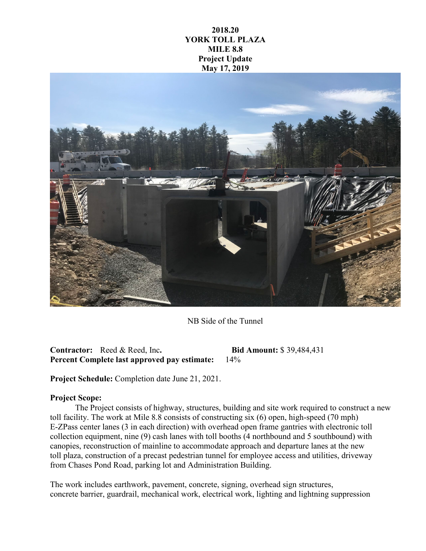## **2018.20 YORK TOLL PLAZA MILE 8.8 Project Update May 17, 2019**



NB Side of the Tunnel

**Contractor:** Reed & Reed, Inc**. Bid Amount:** \$ 39,484,431 **Percent Complete last approved pay estimate:** 14%

**Project Schedule:** Completion date June 21, 2021.

## **Project Scope:**

The Project consists of highway, structures, building and site work required to construct a new toll facility. The work at Mile 8.8 consists of constructing six (6) open, high-speed (70 mph) E-ZPass center lanes (3 in each direction) with overhead open frame gantries with electronic toll collection equipment, nine (9) cash lanes with toll booths (4 northbound and 5 southbound) with canopies, reconstruction of mainline to accommodate approach and departure lanes at the new toll plaza, construction of a precast pedestrian tunnel for employee access and utilities, driveway from Chases Pond Road, parking lot and Administration Building.

The work includes earthwork, pavement, concrete, signing, overhead sign structures, concrete barrier, guardrail, mechanical work, electrical work, lighting and lightning suppression